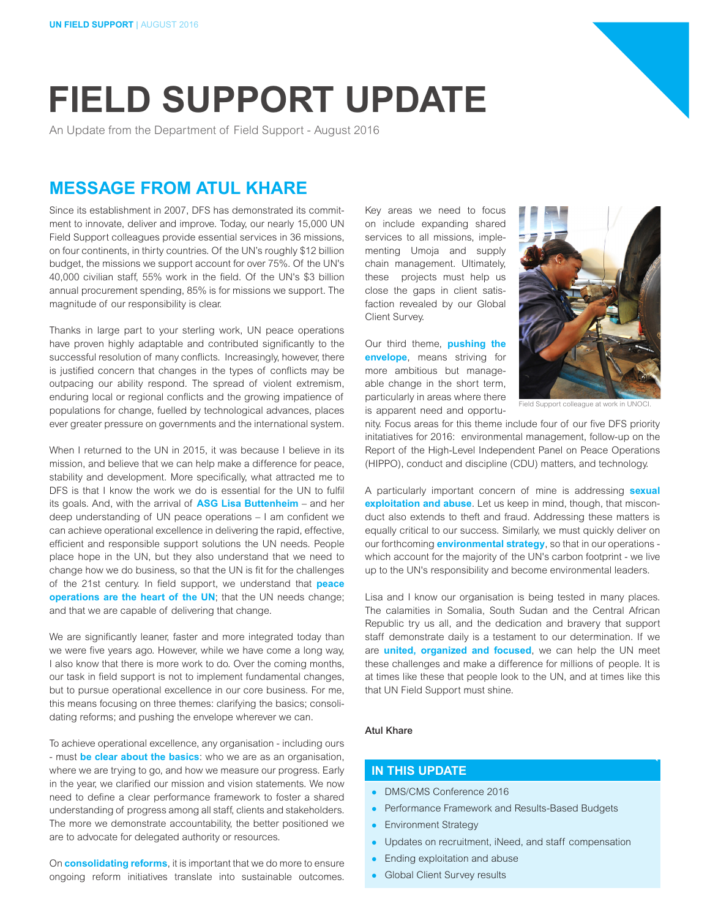# **FIELD SUPPORT UPDATE**

An Update from the Department of Field Support - August 2016

# **MESSAGE FROM ATUL KHARE**

Since its establishment in 2007, DFS has demonstrated its commitment to innovate, deliver and improve. Today, our nearly 15,000 UN Field Support colleagues provide essential services in 36 missions, on four continents, in thirty countries. Of the UN's roughly \$12 billion budget, the missions we support account for over 75%. Of the UN's 40,000 civilian staff, 55% work in the field. Of the UN's \$3 billion annual procurement spending, 85% is for missions we support. The magnitude of our responsibility is clear.

Thanks in large part to your sterling work, UN peace operations have proven highly adaptable and contributed significantly to the successful resolution of many conflicts. Increasingly, however, there is justified concern that changes in the types of conflicts may be outpacing our ability respond. The spread of violent extremism, enduring local or regional conflicts and the growing impatience of populations for change, fuelled by technological advances, places ever greater pressure on governments and the international system.

When I returned to the UN in 2015, it was because I believe in its mission, and believe that we can help make a difference for peace, stability and development. More specifically, what attracted me to DFS is that I know the work we do is essential for the UN to fulfil its goals. And, with the arrival of **ASG Lisa Buttenheim** – and her deep understanding of UN peace operations – I am confident we can achieve operational excellence in delivering the rapid, effective, efficient and responsible support solutions the UN needs. People place hope in the UN, but they also understand that we need to change how we do business, so that the UN is fit for the challenges of the 21st century. In field support, we understand that **peace operations are the heart of the UN**; that the UN needs change; and that we are capable of delivering that change.

We are significantly leaner, faster and more integrated today than we were five years ago. However, while we have come a long way, I also know that there is more work to do. Over the coming months, our task in field support is not to implement fundamental changes, but to pursue operational excellence in our core business. For me, this means focusing on three themes: clarifying the basics; consolidating reforms; and pushing the envelope wherever we can.

To achieve operational excellence, any organisation - including ours - must **be clear about the basics**: who we are as an organisation, where we are trying to go, and how we measure our progress. Early in the year, we clarified our mission and vision statements. We now need to define a clear performance framework to foster a shared understanding of progress among all staff, clients and stakeholders. The more we demonstrate accountability, the better positioned we are to advocate for delegated authority or resources.

On **consolidating reforms**, it is important that we do more to ensure ongoing reform initiatives translate into sustainable outcomes.

Key areas we need to focus on include expanding shared services to all missions, implementing Umoja and supply chain management. Ultimately, these projects must help us close the gaps in client satisfaction revealed by our Global Client Survey.

Our third theme, **pushing the envelope**, means striving for more ambitious but manageable change in the short term, particularly in areas where there is apparent need and opportu-



Field Support colleague at work in UNOCI.

nity. Focus areas for this theme include four of our five DFS priority initatiatives for 2016: environmental management, follow-up on the Report of the High-Level Independent Panel on Peace Operations (HIPPO), conduct and discipline (CDU) matters, and technology.

A particularly important concern of mine is addressing **sexual exploitation and abuse**. Let us keep in mind, though, that misconduct also extends to theft and fraud. Addressing these matters is equally critical to our success. Similarly, we must quickly deliver on our forthcoming **environmental strategy**, so that in our operations which account for the majority of the UN's carbon footprint - we live up to the UN's responsibility and become environmental leaders.

Lisa and I know our organisation is being tested in many places. The calamities in Somalia, South Sudan and the Central African Republic try us all, and the dedication and bravery that support staff demonstrate daily is a testament to our determination. If we are **united, organized and focused**, we can help the UN meet these challenges and make a difference for millions of people. It is at times like these that people look to the UN, and at times like this that UN Field Support must shine.

## Atul Khare

# **IN THIS UPDATE**

- DMS/CMS Conference 2016
- Performance Framework and Results-Based Budgets
- Environment Strategy
- Updates on recruitment, iNeed, and staff compensation
- $\bullet$  Ending exploitation and abuse
- **Global Client Survey results**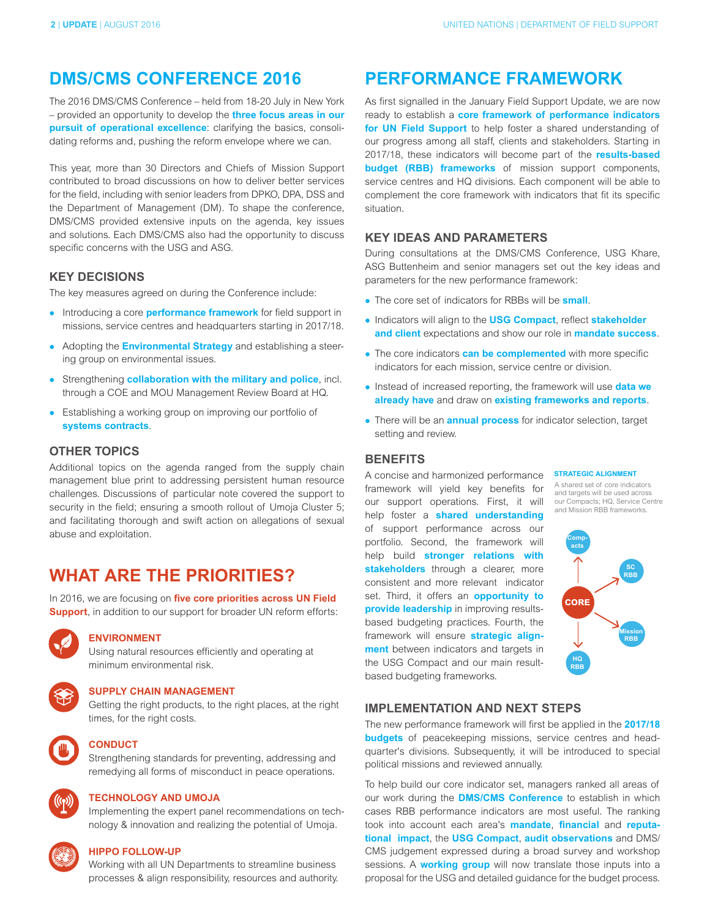# **DMS/CMS CONFERENCE 2016**

The 2016 DMS/CMS Conference – held from 18-20 July in New York – provided an opportunity to develop the **three focus areas in our pursuit of operational excellence**: clarifying the basics, consolidating reforms and, pushing the reform envelope where we can.

This year, more than 30 Directors and Chiefs of Mission Support contributed to broad discussions on how to deliver better services for the field, including with senior leaders from DPKO, DPA, DSS and the Department of Management (DM). To shape the conference, DMS/CMS provided extensive inputs on the agenda, key issues and solutions. Each DMS/CMS also had the opportunity to discuss specific concerns with the USG and ASG.

## **KEY DECISIONS**

The key measures agreed on during the Conference include:

- **•** Introducing a core **performance framework** for field support in missions, service centres and headquarters starting in 2017/18.
- Adopting the **Environmental Strategy** and establishing a steering group on environmental issues.
- **EXTERGHERIMS IN STRENGT COLLAD COLLAD FOR THE MILTER ST** Strengthening **collaboration with the military and police**, incl. through a COE and MOU Management Review Board at HQ.
- Establishing a working group on improving our portfolio of **systems contracts**.

## **OTHER TOPICS**

Additional topics on the agenda ranged from the supply chain management blue print to addressing persistent human resource challenges. Discussions of particular note covered the support to security in the field; ensuring a smooth rollout of Umoja Cluster 5; and facilitating thorough and swift action on allegations of sexual abuse and exploitation.

# **WHAT ARE THE PRIORITIES?**

In 2016, we are focusing on **five core priorities across UN Field Support**, in addition to our support for broader UN reform efforts:



# **ENVIRONMENT**

Using natural resources efficiently and operating at minimum environmental risk.



### **SUPPLY CHAIN MANAGEMENT**

Getting the right products, to the right places, at the right times, for the right costs.



#### **CONDUCT**

Strengthening standards for preventing, addressing and remedying all forms of misconduct in peace operations.



#### **TECHNOLOGY AND UMOJA**

Implementing the expert panel recommendations on technology & innovation and realizing the potential of Umoja.

#### **HIPPO FOLLOW-UP**

Working with all UN Departments to streamline business processes & align responsibility, resources and authority.

# **PERFORMANCE FRAMEWORK**

As first signalled in the January Field Support Update, we are now ready to establish a **core framework of performance indicators for UN Field Support** to help foster a shared understanding of our progress among all staff, clients and stakeholders. Starting in 2017/18, these indicators will become part of the **results-based budget (RBB) frameworks** of mission support components, service centres and HQ divisions. Each component will be able to complement the core framework with indicators that fit its specific situation.

# **KEY IDEAS AND PARAMETERS**

During consultations at the DMS/CMS Conference, USG Khare, ASG Buttenheim and senior managers set out the key ideas and parameters for the new performance framework:

- The core set of indicators for RBBs will be **small**.
- $\bullet$  Indicators will align to the **USG Compact**, reflect **stakeholder and client** expectations and show our role in **mandate success**.
- **•** The core indicators **can be complemented** with more specific indicators for each mission, service centre or division.
- **.** Instead of increased reporting, the framework will use **data we already have** and draw on **existing frameworks and reports**.
- There will be an **annual process** for indicator selection, target setting and review.

#### **BENEFITS**

A concise and harmonized performance framework will yield key benefits for our support operations. First, it will help foster a **shared understanding**  of support performance across our portfolio. Second, the framework will help build **stronger relations with**  stakeholders through a clearer, more consistent and more relevant indicator set. Third, it offers an **opportunity to provide leadership** in improving resultsbased budgeting practices. Fourth, the framework will ensure **strategic alignment** between indicators and targets in the USG Compact and our main resultbased budgeting frameworks.

#### **STRATEGIC ALIGNMENT**

A shared set of core indicators and targets will be used across our Compacts; HQ, Service Centre and Mission RBB frameworks.



## **IMPLEMENTATION AND NEXT STEPS**

The new performance framework will first be applied in the **2017/18 budgets** of peacekeeping missions, service centres and headquarter's divisions. Subsequently, it will be introduced to special political missions and reviewed annually.

To help build our core indicator set, managers ranked all areas of our work during the **DMS/CMS Conference** to establish in which cases RBB performance indicators are most useful. The ranking took into account each area's **mandate**, **financial** and **reputational impact**, the **USG Compact**, **audit observations** and DMS/ CMS judgement expressed during a broad survey and workshop sessions. A **working group** will now translate those inputs into a proposal for the USG and detailed guidance for the budget process.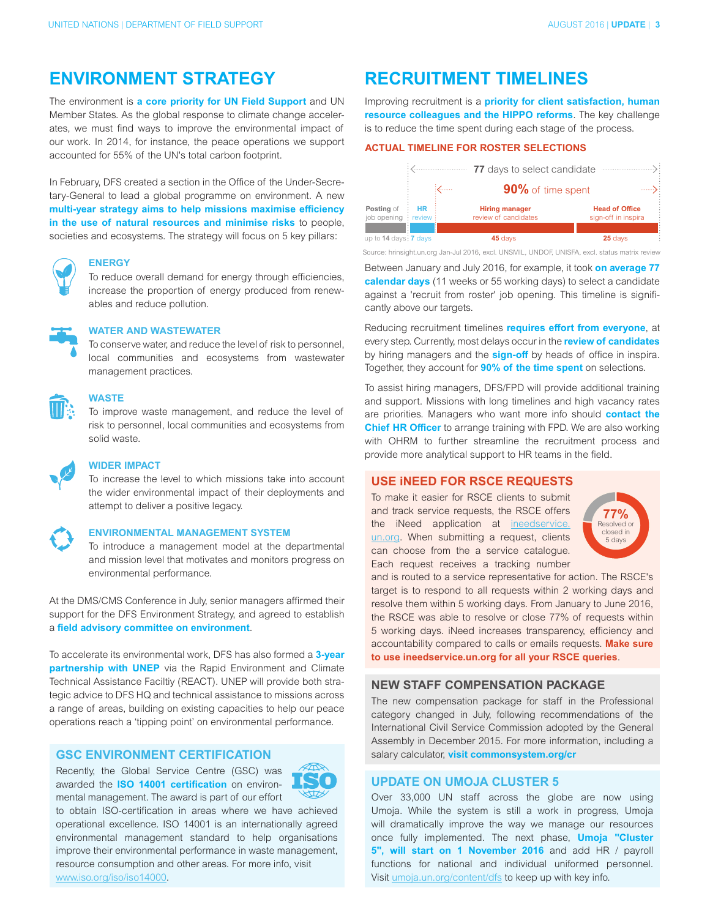# **ENVIRONMENT STRATEGY**

The environment is **a core priority for UN Field Support** and UN Member States. As the global response to climate change accelerates, we must find ways to improve the environmental impact of our work. In 2014, for instance, the peace operations we support accounted for 55% of the UN's total carbon footprint.

In February, DFS created a section in the Office of the Under-Secretary-General to lead a global programme on environment. A new **multi-year strategy aims to help missions maximise efficiency in the use of natural resources and minimise risks** to people, societies and ecosystems. The strategy will focus on 5 key pillars:



#### **ENERGY**

To reduce overall demand for energy through efficiencies, increase the proportion of energy produced from renewables and reduce pollution.



## **WATER AND WASTEWATER**

To conserve water, and reduce the level of risk to personnel, local communities and ecosystems from wastewater management practices.



#### **WASTE**

To improve waste management, and reduce the level of risk to personnel, local communities and ecosystems from solid waste.



# **WIDER IMPACT**

To increase the level to which missions take into account the wider environmental impact of their deployments and attempt to deliver a positive legacy.

#### **ENVIRONMENTAL MANAGEMENT SYSTEM**

To introduce a management model at the departmental and mission level that motivates and monitors progress on environmental performance.

At the DMS/CMS Conference in July, senior managers affirmed their support for the DFS Environment Strategy, and agreed to establish a **field advisory committee on environment**.

To accelerate its environmental work, DFS has also formed a **3-year partnership with UNEP** via the Rapid Environment and Climate Technical Assistance Faciltiy (REACT). UNEP will provide both strategic advice to DFS HQ and technical assistance to missions across a range of areas, building on existing capacities to help our peace operations reach a 'tipping point' on environmental performance.

# **GSC ENVIRONMENT CERTIFICATION**

Recently, the Global Service Centre (GSC) was awarded the **ISO 14001 certification** on environmental management. The award is part of our effort



to obtain ISO-certification in areas where we have achieved operational excellence. ISO 14001 is an internationally agreed environmental management standard to help organisations improve their environmental performance in waste management, resource consumption and other areas. For more info, visit www.iso.org/iso/iso14000.

# **RECRUITMENT TIMELINES**

Improving recruitment is a **priority for client satisfaction, human resource colleagues and the HIPPO reforms**. The key challenge is to reduce the time spent during each stage of the process.

# **ACTUAL TIMELINE FOR ROSTER SELECTIONS**



Source: hrinsight.un.org Jan-Jul 2016, excl. UNSMIL, UNDOF, UNISFA, excl. status matrix review

Between January and July 2016, for example, it took **on average 77 calendar days** (11 weeks or 55 working days) to select a candidate against a 'recruit from roster' job opening. This timeline is significantly above our targets.

Reducing recruitment timelines **requires effort from everyone**, at every step. Currently, most delays occur in the **review of candidates** by hiring managers and the **sign-off** by heads of office in inspira. Together, they account for **90% of the time spent** on selections.

To assist hiring managers, DFS/FPD will provide additional training and support. Missions with long timelines and high vacancy rates are priorities. Managers who want more info should **contact the Chief HR Officer** to arrange training with FPD. We are also working with OHRM to further streamline the recruitment process and provide more analytical support to HR teams in the field.

## **USE iNEED FOR RSCE REQUESTS**

To make it easier for RSCE clients to submit and track service requests, the RSCE offers the iNeed application at ineedservice. un.org. When submitting a request, clients can choose from the a service catalogue. Each request receives a tracking number



and is routed to a service representative for action. The RSCE's target is to respond to all requests within 2 working days and resolve them within 5 working days. From January to June 2016, the RSCE was able to resolve or close 77% of requests within 5 working days. iNeed increases transparency, efficiency and accountability compared to calls or emails requests. **Make sure to use ineedservice.un.org for all your RSCE queries**.

#### **NEW STAFF COMPENSATION PACKAGE**

The new compensation package for staff in the Professional category changed in July, following recommendations of the International Civil Service Commission adopted by the General Assembly in December 2015. For more information, including a salary calculator, **visit commonsystem.org/cr**

## **UPDATE ON UMOJA CLUSTER 5**

Over 33,000 UN staff across the globe are now using Umoja. While the system is still a work in progress, Umoja will dramatically improve the way we manage our resources once fully implemented. The next phase, **Umoja "Cluster 5", will start on 1 November 2016** and add HR / payroll functions for national and individual uniformed personnel. Visit umoja.un.org/content/dfs to keep up with key info.